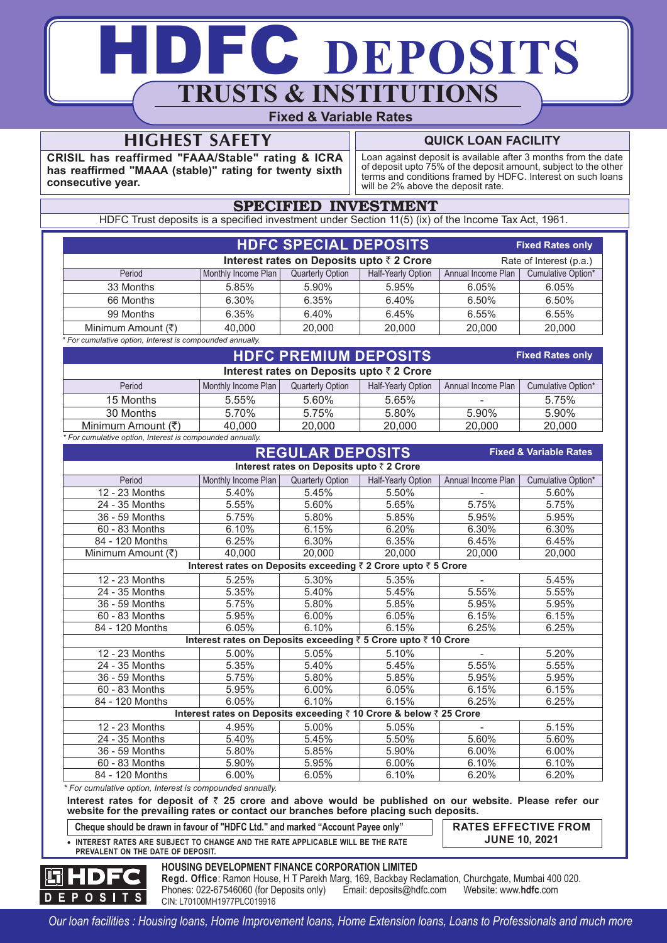# DFC DEPOSITS **TRUSTS & INSTITUTIONS Fixed & Variable Rates**

# **HIGHEST SAFETY**

**CRISIL has reaffirmed "FAAA/Stable" rating & ICRA has reaffirmed "MAAA (stable)" rating for twenty sixth consecutive year.**

# **QUICK LOAN FACILITY**

Loan against deposit is available after 3 months from the date of deposit upto 75% of the deposit amount, subject to the other terms and conditions framed by HDFC. Interest on such loans will be 2% above the deposit rate.

# SPECIFIED INVESTMENT

HDFC Trust deposits is a specified investment under Section 11(5) (ix) of the Income Tax Act, 1961.

|                                                                      |                     | <b>HDFC SPECIAL DEPOSITS.</b> |                    |                    | <b>Fixed Rates only</b> |  |
|----------------------------------------------------------------------|---------------------|-------------------------------|--------------------|--------------------|-------------------------|--|
| Interest rates on Deposits upto ₹ 2 Crore<br>Rate of Interest (p.a.) |                     |                               |                    |                    |                         |  |
| Period                                                               | Monthly Income Plan | Quarterly Option              | Half-Yearly Option | Annual Income Plan | Cumulative Option*      |  |
| 33 Months                                                            | 5.85%               | 5.90%                         | 5.95%              | 6.05%              | 6.05%                   |  |
| 66 Months                                                            | 6.30%               | 6.35%                         | 6.40%              | 6.50%              | 6.50%                   |  |
| 99 Months                                                            | 6.35%               | 6.40%                         | 6.45%              | 6.55%              | 6.55%                   |  |
| Minimum Amount (₹)                                                   | 40,000              | 20,000                        | 20,000             | 20,000             | 20,000                  |  |
| For cumulative option Interest is compounded annually                |                     |                               |                    |                    |                         |  |

*\* For cumulative option, Interest is compounded annually.*

|                                           |                     | <b>Fixed Rates only</b> |                    |                    |                    |  |  |
|-------------------------------------------|---------------------|-------------------------|--------------------|--------------------|--------------------|--|--|
| Interest rates on Deposits upto ₹ 2 Crore |                     |                         |                    |                    |                    |  |  |
| Period                                    | Monthly Income Plan | <b>Quarterly Option</b> | Half-Yearly Option | Annual Income Plan | Cumulative Option* |  |  |
| 15 Months                                 | 5.55%               | 5.60%                   | 5.65%              |                    | 5.75%              |  |  |
| 30 Months                                 | 5.70%               | 5.75%                   | 5.80%              | 5.90%              | 5.90%              |  |  |
| Minimum Amount $(\bar{\tau})$             | 40.000              | 20,000                  | 20,000             | 20,000             | 20,000             |  |  |
|                                           |                     |                         |                    |                    |                    |  |  |

*\* For cumulative option, Interest is compounded annually.*

# **REGULAR DEPOSITS Fixed & Variable Rates**

12 - 23 Months  $18.40\%$   $19.45\%$   $19.50\%$   $19.50\%$   $19.500\%$ 24 - 35 Months  $5.55\%$  | 5.60% | 5.65% | 5.75% | 5.75% 36 - 59 Months 5.75% 5.80% 5.85% 5.95% 5.95% 5.95% 5.95% 5.95% 5.95% 5.95% 5.95% 5.95% 5.95% 5.95% 5.95% 5.95% 5.95% 5.95% 5.95% 5.95% 5.95% 5.95% 5.95% 5.95% 5.95% 5.95% 5.95% 5.95% 5.95% 5.95% 5.95% 5.95% 5.95% 5.95% 5.9 60 - 83 Months 6.10% 6.15% 6.20% 6.30% 6.30% 84 - 120 Months 6.25% 6.30% 6.35% 6.45% 6.45%  $\frac{1}{20,000}$  Minimum Amount ( $\overline{\xi}$ )  $\frac{1}{20,000}$  20,000 20,000 20,000 20,000 12 - 23 Months  $\begin{array}{|c|c|c|c|c|c|} \hline \end{array}$  5.25%  $\begin{array}{|c|c|c|c|c|c|} \hline \end{array}$  5.35% - 5.45% 24 - 35 Months  $\begin{array}{|c|c|c|c|c|c|} \hline \end{array}$  5.35%  $\begin{array}{|c|c|c|c|c|c|} \hline \end{array}$  5.55% 5.55% 5.55% 5.55% 36 - 59 Months  $1\quad 5.75\%$   $1\quad 5.80\%$   $1\quad 5.85\%$   $1\quad 5.95\%$   $5.95\%$ 60 - 83 Months 5.95% 6.00% 6.05% 6.15% 6.15% 84 - 120 Months 6.05% 6.10% 6.10% 6.15% 6.25% 6.25% Period Monthly Income Plan Quarterly Option | Half-Yearly Option | Annual Income Plan | Cumulative Option\* **Interest rates on Deposits upto** ` **2 Crore Interest rates on Deposits exceeding** ` **2 Crore upto** ` **5 Crore Interest rates on Deposits exceeding** ` **5 Crore upto** ` **10 Crore Interest rates on Deposits exceeding** ` **10 Crore & below** ` **25 Crore** 12 - 23 Months 5.00% 5.05% 5.10% - 5.20% 24 - 35 Months  $\begin{array}{|c|c|c|c|c|c|} \hline \end{array}$  5.35% 5.35% 5.55% 5.55% 5.55% 5.55% 36 - 59 Months  $\begin{array}{|c|c|c|c|c|c|} \hline \end{array}$  5.75%  $\begin{array}{|c|c|c|c|c|c|} \hline \end{array}$  5.85%  $\begin{array}{|c|c|c|c|c|} \hline \end{array}$  5.95% 5.95% 60 - 83 Months 5.95% 6.00% 6.05% 6.15% 6.15% 84 - 120 Months 6.05% 6.10% 6.15% 6.25% 6.25% 6.25% 12 - 23 Months 4.95% 5.00% 5.05% - 5.15% 24 - 35 Months  $\begin{array}{|c|c|c|c|c|c|} \hline \end{array}$  5.40%  $\begin{array}{|c|c|c|c|c|c|} \hline \end{array}$  5.50%  $\begin{array}{|c|c|c|c|c|} \hline \end{array}$  5.60%  $\begin{array}{|c|c|c|c|c|} \hline \end{array}$  5.60%  $\begin{array}{|c|c|c|c|c|} \hline \end{array}$  5.60%  $\begin{array}{|c|c|c|c|c|} \hline \end{array}$ 36 - 59 Months  $\begin{array}{|c|c|c|c|c|c|} \hline \end{array}$  5.80%  $\begin{array}{|c|c|c|c|c|c|} \hline \end{array}$  5.90%  $\begin{array}{|c|c|c|c|c|} \hline \end{array}$  6.00%  $\begin{array}{|c|c|c|c|c|} \hline \end{array}$  6.00%  $\begin{array}{|c|c|c|c|c|} \hline \end{array}$ 60 - 83 Months 5.90% 5.95% 6.00% 6.10% 6.10% 84 - 120 Months 6.00% 6.05% 6.10% 6.20%

*\* For cumulative option, Interest is compounded annually.*

**Interest rates for deposit of** ` **25 crore and above would be published on our website. Please refer our website for the prevailing rates or contact our branches before placing such deposits.**

**Cheque should be drawn in favour of "HDFC Ltd." and marked "Account Payee only" RATES EFFECTIVE FROM**

**INTEREST RATES ARE SUBJECT TO CHANGE AND THE RATE APPLICABLE WILL BE THE RATE**

**JUNE 10, 2021**



# **HOUSING DEVELOPMENT FINANCE CORPORATION LIMITED**

**Regd. Office**: Ramon House, H T Parekh Marg, 169, Backbay Reclamation, Churchgate, Mumbai 400 020.<br>Phones: 022-67546060 (for Deposits only) Email: deposits@hdfc.com Website: www.hdfc.com Phones: 022-67546060 (for Deposits only) EPOSITS CIN: L70100MH1977PLC019916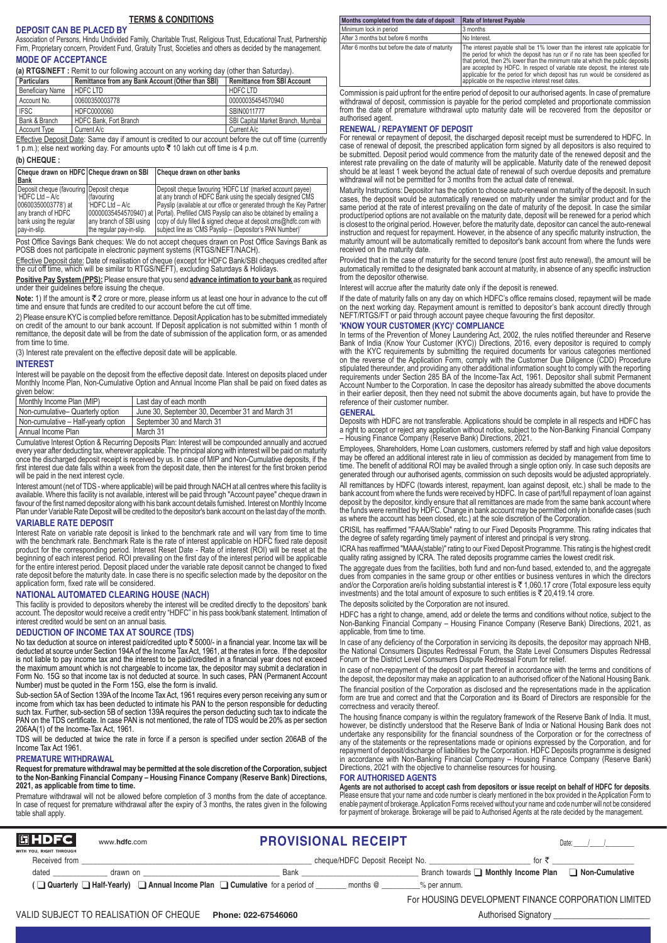#### **TERMS & CONDITIONS**

**DEPOSIT CAN BE PLACED BY** Association of Persons, Hindu Undivided Family, Charitable Trust, Religious Trust, Educational Trust, Partnership Firm, Proprietary concern, Provident Fund, Gratuity Trust, Societies and others as decided by the management.

## **MODE OF ACCEPTANCE**

**(a) RTGS/NEFT :** Remit to our following account on any working day (other than Saturday).

| <b>Particulars</b>      | Remittance from any Bank Account (Other than SBI) | Remittance from SBI Account       |
|-------------------------|---------------------------------------------------|-----------------------------------|
| <b>Beneficiary Name</b> | HDFC LTD                                          | HDFC LTD                          |
| Account No.             | 00600350003778                                    | 00000035454570940                 |
| <b>IFSC</b>             | HDFC0000060                                       | SBIN0011777                       |
| Bank & Branch           | HDFC Bank, Fort Branch                            | SBI Capital Market Branch, Mumbai |
| Account Type            | Current A/c                                       | Current A/c                       |

Effective Deposit Date: Same day if amount is credited to our account before the cut off time (currently 1 p.m.); else next working day. For amounts upto ₹ 10 lakh cut off time is 4 p.m.

#### **(b) CHEQUE :**

**Cheque drawn on HDFC Cheque drawn on SBI Cheque drawn on other banks**

| <u>with what with the state of the state with the state where the state of the state of the state of the state of </u> | <u>with which will will well which will in</u>                                             |
|------------------------------------------------------------------------------------------------------------------------|--------------------------------------------------------------------------------------------|
|                                                                                                                        |                                                                                            |
| Deposit cheque (favouring Deposit cheque                                                                               | Deposit cheque favouring 'HDFC Ltd' (marked account payee)                                 |
| I (favouring                                                                                                           | at any branch of HDFC Bank using the specially designed CMS                                |
| I HDFC Ltd - A/c                                                                                                       | Payslip (available at our office or generated through the Key Partner                      |
|                                                                                                                        | 100000035454570940') at (Portal). Prefilled CMS Payslip can also be obtained by emailing a |
| lany branch of SBI using                                                                                               | copy of duly filled & signed cheque at deposit.cms@hdfc.com with                           |
| the regular pay-in-slip.                                                                                               | subject line as 'CMS Payslip - (Depositor's PAN Number)'                                   |
|                                                                                                                        |                                                                                            |

Post Office Savings Bank cheques: We do not accept cheques drawn on Post Office Savings Bank as POSB does not participate in electronic payment systems (RTGS/NEFT/NACH).

Effective Deposit date: Date of realisation of cheque (except for HDFC Bank/SBI cheques credited after the cut off time, which will be similar to RTGS/NEFT), excluding Saturdays & Holidays.

**Positive Pay System (PPS):** Please ensure that you send **advance intimation to your bank** as required under their guidelines before issuing the cheque.

Note: 1) If the amount is ₹ 2 crore or more, please inform us at least one hour in advance to the cut off time and ensure that funds are credited to our account before the cut off time

2) Please ensure KYC is complied before remittance. Deposit Application has to be submitted immediately on credit of the amount to our bank account. If Deposit application is not submitted within 1 month of remittance, the deposit date will be from the date of submission of the application form, or as amended from time to time.

(3) Interest rate prevalent on the effective deposit date will be applicable.

#### **INTEREST**

Interest will be payable on the deposit from the effective deposit date. Interest on deposits placed under Monthly Income Plan, Non-Cumulative Option and Annual Income Plan shall be paid on fixed dates as given below:

| Monthly Income Plan (MIP)           | Last day of each month                          |
|-------------------------------------|-------------------------------------------------|
| Non-cumulative- Quarterly option    | June 30. September 30. December 31 and March 31 |
| Non-cumulative - Half-yearly option | September 30 and March 31                       |
| Annual Income Plan                  | March 31                                        |

Cumulative Interest Option & Recurring Deposits Plan: Interest will be compounded annually and accrued every year after deducting tax, wherever applicable. The principal along with interest will be paid on maturity once the discharged deposit receipt is received by us. In case of MIP and Non-Cumulative deposits, if the first interest due date falls within a week from the deposit date, then the interest for the first broken period will be paid in the next interest cycle.

Interest amount (net of TDS - where applicable) will be paid through NACH at all centres where this facility is available. Where this facility is not available, interest will be paid through "Account payee" cheque drawn in favour of the first named depositor along with his bank account details furnished. Interest on Monthly Income Plan under Variable Rate Deposit will be credited to the depositor's bank account on the last day of the month.

#### **VARIABLE RATE DEPOSIT**

Interest Rate on variable rate deposit is linked to the benchmark rate and will vary from time to time with the benchmark rate. Benchmark Rate is the rate of interest applicable on HDFC fixed rate deposit product for the corresponding period. Interest Reset Date - Rate of interest (ROI) will be reset at the beginning of each interest period. ROI prevailing on the first day of the interest period will be applicable for the entire interest period. Deposit placed under the variable rate deposit cannot be changed to fixed rate deposit before the maturity date. In case there is no specific selection made by the depositor on the application form, fixed rate will be considered.

## **NATIONAL AUTOMATED CLEARING HOUSE (NACH)**

This facility is provided to depositors whereby the interest will be credited directly to the depositors' bank account. The depositor would receive a credit entry "HDFC" in his pass book/bank statement. Intimation of interest credited would be sent on an annual basis

#### **DEDUCTION OF INCOME TAX AT SOURCE (TDS)**

No tax deduction at source on interest paid/credited upto ₹ 5000/- in a financial year. Income tax will be<br>deducted at source under Section 194A of the Income Tax Act, 1961, at the rates in force. If the depositor is not liable to pay income tax and the interest to be paid/credited in a financial year does not exceed the maximum amount which is not chargeable to income tax, the depositor may submit a declaration in Form No. 15G so that income tax is not deducted at source. In such cases, PAN (Permanent Account Number) must be quoted in the Form 15G, else the form is invalid.

Sub-section 5A of Section 139A of the Income Tax Act, 1961 requires every person receiving any sum or income from which tax has been deducted to intimate his PAN to the person responsible for deducting such tax. Further, sub-section 5B of section 139A requires the person deducting such tax to indicate the PAN on the TDS certificate. In case PAN is not mentioned, the rate of TDS would be 20% as per section 206AA(1) of the Income-Tax Act, 1961.

TDS will be deducted at twice the rate in force if a person is specified under section 206AB of the Income Tax Act 1961.

#### **PREMATURE WITHDRAWAL**

**Request for premature withdrawal may be permitted at the sole discretion of the Corporation, subject to the Non-Banking Financial Company – Housing Finance Company (Reserve Bank) Directions, 2021, as applicable from time to time.**

Premature withdrawal will not be allowed before completion of 3 months from the date of acceptance. In case of request for premature withdrawal after the expiry of 3 months, the rates given in the following table shall apply.

| Months completed from the date of deposit      | <b>Rate of Interest Payable</b>                                                                                                                                                                                                                                                                                                                                                                                                                                            |
|------------------------------------------------|----------------------------------------------------------------------------------------------------------------------------------------------------------------------------------------------------------------------------------------------------------------------------------------------------------------------------------------------------------------------------------------------------------------------------------------------------------------------------|
| Minimum lock in period                         | 3 months                                                                                                                                                                                                                                                                                                                                                                                                                                                                   |
| After 3 months but before 6 months             | No Interest.                                                                                                                                                                                                                                                                                                                                                                                                                                                               |
| After 6 months but before the date of maturity | The interest payable shall be 1% lower than the interest rate applicable for<br>I the period for which the deposit has run or if no rate has been specified for I<br>I that period, then 2% lower than the minimum rate at which the public deposits I<br>are accepted by HDFC. In respect of variable rate deposit, the interest rate<br>applicable for the period for which deposit has run would be considered as<br>applicable on the respective interest reset dates. |

Commission is paid upfront for the entire period of deposit to our authorised agents. In case of premature withdrawal of deposit, commission is payable for the period completed and proportionate commission from the date of premature withdrawal upto maturity date will be recovered from the depositor or authorised agent.

#### **RENEWAL / REPAYMENT OF DEPOSIT**

For renewal or repayment of deposit, the discharged deposit receipt must be surrendered to HDFC. In case of renewal of deposit, the prescribed application form signed by all depositors is also required to be submitted. Deposit period would commence from the maturity date of the renewed deposit and the interest rate prevailing on the date of maturity will be applicable. Maturity date of the renewed deposit should be at least 1 week beyond the actual date of renewal of such overdue deposits and premature withdrawal will not be permitted for 3 months from the actual date of renewal.

Maturity Instructions: Depositor has the option to choose auto-renewal on maturity of the deposit. In such cases, the deposit would be automatically renewed on maturity under the similar product and for the same period at the rate of interest prevailing on the date of maturity of the deposit. In case the similar same product/period options are not available on the maturity date, deposit will be renewed for a period which<br>is closest to the original period. However, before the maturity date, depositor can cancel the auto-renewal<br>instruct maturity amount will be automatically remitted to depositor's bank account from where the funds were received on the maturity date.

Provided that in the case of maturity for the second tenure (post first auto renewal), the amount will be automatically remitted to the designated bank account at maturity, in absence of any specific instruction from the depositor otherwise.

Interest will accrue after the maturity date only if the deposit is renewed.

If the date of maturity falls on any day on which HDFC's office remains closed, repayment will be made on the next working day. Repayment amount is remitted to depositor's bank account directly through NEFT/RTGS/FT or paid through account payee cheque favouring the first depositor.

#### **'KNOW YOUR CUSTOMER (KYC)' COMPLIANCE**

In terms of the Prevention of Money Laundering Act, 2002, the rules notified thereunder and Reserve Bank of India (Know Your Customer (KYC)) Directions, 2016, every depositor is required to comply with the KYC requirements by submitting the required documents for various categories mentioned on the reverse of the Application Form, comply with the Customer Due Diligence (CDD) Procedure<br>stipulated thereunder, and providing any other additional information sought to comply with the reporting<br>requirements under Se Account Number to the Corporation. In case the depositor has already submitted the above documents in their earlier deposit, then they need not submit the above documents again, but have to provide the reference of their customer number.

#### **GENERAL**

Deposits with HDFC are not transferable. Applications should be complete in all respects and HDFC has a right to accept or reject any application without notice, subject to the Non-Banking Financial Company – Housing Finance Company (Reserve Bank) Directions, 2021.

Employees, Shareholders, Home Loan customers, customers referred by staff and high value depositors may be offered an additional interest rate in lieu of commission as decided by management from time to time. The benefit of additional ROI may be availed through a single option only. In case such deposits are generated through our authorised agents, commission on such deposits would be adjusted appropriately.

All remittances by HDFC (towards interest, repayment, loan against deposit, etc.) shall be made to the bank account from where the funds were received by HDFC. In case of part/full repayment of loan against deposit by the depositor, kindly ensure that all remittances are made from the same bank account where the funds were remitted by HDFC. Change in bank account may be permitted only in bonafide cases (such as where the account has been closed, etc.) at the sole discretion of the Corporation.

CRISIL has reaffirmed "FAAA/Stable" rating to our Fixed Deposits Programme. This rating indicates that the degree of safety regarding timely payment of interest and principal is very strong.

ICRA has reaffirmed "MAAA(stable)" rating to our Fixed Deposit Programme. This rating is the highest credit quality rating assigned by ICRA. The rated deposits programme carries the lowest credit risk

The aggregate dues from the facilities, both fund and non-fund based, extended to, and the aggregate dues from companies in the same group or other entities or business ventures in which the directors<br>and/or the Corporation are/is holding substantial interest is ₹ 1,060.17 crore (Total exposure less equity investments) and the total amount of exposure to such entities is  $\bar{\tau}$  20,419.14 crore. The deposits solicited by the Corporation are not insured.

HDFC has a right to change, amend, add or delete the terms and conditions without notice, subject to the<br>Non-Banking Financial Company – Housing Finance Company (Reserve Bank) Directions, 2021, as<br>applicable, from time to

In case of any deficiency of the Corporation in servicing its deposits, the depositor may approach NHB, the National Consumers Disputes Redressal Forum, the State Level Consumers Disputes Redressal Forum or the District Level Consumers Dispute Redressal Forum for relief.

In case of non-repayment of the deposit or part thereof in accordance with the terms and conditions of the deposit, the depositor may make an application to an authorised officer of the National Housing Bank.

The financial position of the Corporation as disclosed and the representations made in the application form are true and correct and that the Corporation and its Board of Directors are responsible for the correctness and veracity thereof.

The housing finance company is within the regulatory framework of the Reserve Bank of India. It must,<br>however, be distinctly understood that the Reserve Bank of India or National Housing Bank does not undertake any responsibility for the financial soundness of the Corporation or for the correctness of any of the statements or the representations made or opinions expressed by the Corporation, and for repayment of deposit/discharge of liabilities by the Corporation. HDFC Deposits programme is designed in accordance with Non-Banking Financial Company – Housing Finance Company (Reserve Bank) Directions, 2021 with the objective to channelise resources for housing.

#### **FOR AUTHORISED AGENTS**

**Agents are not authorised to accept cash from depositors or issue receipt on behalf of HDFC for deposits**. Please ensure that your name and code number is clearly mentioned in the box provided in the Application Form to enable payment of brokerage. Application Forms received without your name and code number will not be considered for payment of brokerage. Brokerage will be paid to Authorised Agents at the rate decided by the management.

| <b> 団HDFC </b>                           | www.hdfc.com | <b>PROVISIONAL RECEIPT</b>                                                                      |                                 |                                           | Date:                                               |
|------------------------------------------|--------------|-------------------------------------------------------------------------------------------------|---------------------------------|-------------------------------------------|-----------------------------------------------------|
| WITH YOU, RIGHT THROUGH<br>Received from |              |                                                                                                 | cheque/HDFC Deposit Receipt No. | for ₹                                     |                                                     |
| dated                                    | drawn on     | Bank                                                                                            |                                 | Branch towards <b>Nonthly Income Plan</b> | □ Non-Cumulative                                    |
|                                          |              | $\Box$ Quarterly $\Box$ Half-Yearly $\Box$ Annual Income Plan $\Box$ Cumulative for a period of | months @<br>% per annum.        |                                           |                                                     |
|                                          |              |                                                                                                 |                                 |                                           | For HOUSING DEVELOPMENT FINANCE CORPORATION LIMITED |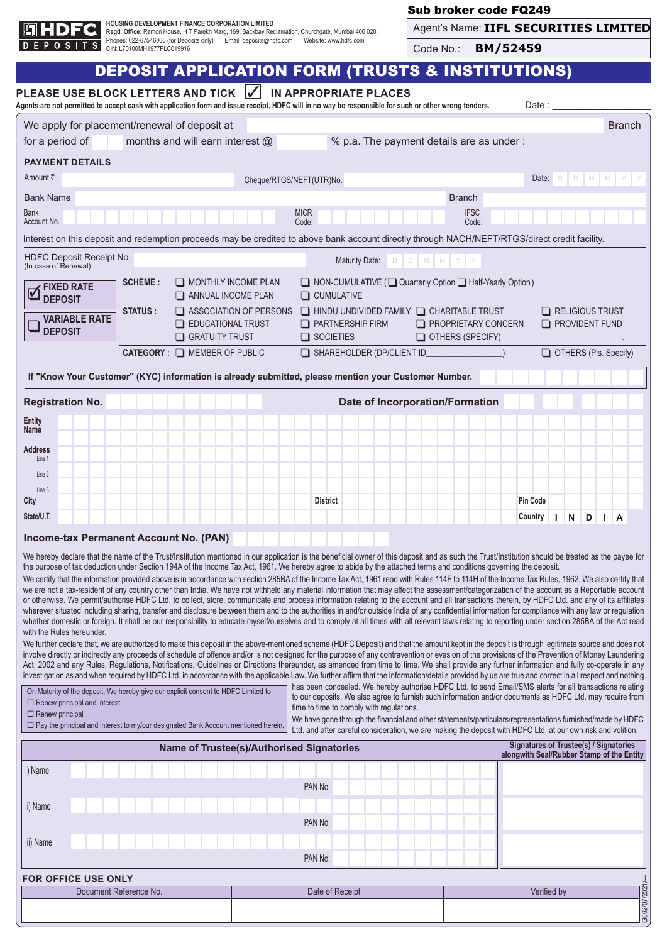

H**OUSING DEVELOPMENT FINANCE CORPORATION LIMITED**<br>**Regd. Offic**e: Ramon House, H T Parekh Marg, 169, Backbay Reclamation, Churchgate, Mumbai 400 020.<br>Phones: 022-67546060 (for Deposits only) Email: deposits@hdfc.com We

# Sub broker code FQ249

| Agent's Name: IIFL SECURITIES LIMITED |  |  |
|---------------------------------------|--|--|
|---------------------------------------|--|--|

Code No.: **BM/52459**

| <b>IN APPROPRIATE PLACES</b><br>PLEASE USE BLOCK LETTERS AND TICK<br>$\checkmark$<br>Agents are not permitted to accept cash with application form and issue receipt. HDFC will in no way be responsible for such or other wrong tenders.<br>Date :<br>We apply for placement/renewal of deposit at<br><b>Branch</b><br>% p.a. The payment details are as under:<br>months and will earn interest $@$<br>for a period of<br><b>PAYMENT DETAILS</b><br>Amount ₹<br>$\Box$<br>$\Box$<br>M M Y<br>Date:<br>Cheque/RTGS/NEFT(UTR)No.<br><b>Bank Name</b><br><b>Branch</b><br><b>Bank</b><br><b>IFSC</b><br><b>MICR</b><br>Account No.<br>Code:<br>Code:<br>Interest on this deposit and redemption proceeds may be credited to above bank account directly through NACH/NEFT/RTGS/direct credit facility.<br>HDFC Deposit Receipt No.<br>Maturity Date:<br>D M M Y Y<br>D<br>(In case of Renewal)<br><b>SCHEME:</b><br>$\Box$ MONTHLY INCOME PLAN<br>◯ NON-CUMULATIVE (◯ Quarterly Option ) Half-Yearly Option)<br><b>FIXED RATE</b><br>$\overline{\mathbf{v}}$<br>$\Box$ CUMULATIVE<br>$\Box$ ANNUAL INCOME PLAN<br><b>DEPOSIT</b><br><b>STATUS:</b><br>$\Box$ HINDU UNDIVIDED FAMILY $\Box$ CHARITABLE TRUST<br>$\Box$ ASSOCIATION OF PERSONS<br>$\Box$ RELIGIOUS TRUST<br><b>VARIABLE RATE</b><br>$\Box$ EDUCATIONAL TRUST<br>$\Box$ PARTNERSHIP FIRM<br>$\Box$ PROPRIETARY CONCERN<br><b>PROVIDENT FUND</b><br><b>DEPOSIT</b><br>GRATUITY TRUST<br>$\Box$ SOCIETIES<br>OTHERS (SPECIFY)<br>SHAREHOLDER (DP/CLIENT ID<br><b>CATEGORY: O MEMBER OF PUBLIC</b><br>OTHERS (Pls. Specify)<br>If "Know Your Customer" (KYC) information is already submitted, please mention your Customer Number.<br><b>Registration No.</b><br><b>Date of Incorporation/Formation</b><br>Entity<br>Name<br><b>Address</b><br>Line 1<br>Line 2<br>Line 3<br><b>Pin Code</b><br>City<br><b>District</b><br>State/U.T.<br>Country<br>$\mathsf{N}$<br>D<br>L.<br>L.<br>A<br><b>Income-tax Permanent Account No. (PAN)</b><br>We hereby declare that the name of the Trust/Institution mentioned in our application is the beneficial owner of this deposit and as such the Trust/Institution should be treated as the payee for<br>the purpose of tax deduction under Section 194A of the Income Tax Act, 1961. We hereby agree to abide by the attached terms and conditions governing the deposit.<br>We certify that the information provided above is in accordance with section 285BA of the Income Tax Act, 1961 read with Rules 114F to 114H of the Income Tax Rules, 1962. We also certify that<br>we are not a tax-resident of any country other than India. We have not withheld any material information that may affect the assessment/categorization of the account as a Reportable account<br>or otherwise. We permit/authorise HDFC Ltd. to collect, store, communicate and process information relating to the account and all transactions therein, by HDFC Ltd. and any of its affiliates<br>wherever situated including sharing, transfer and disclosure between them and to the authorities in and/or outside India of any confidential information for compliance with any law or regulation<br>whether domestic or foreign. It shall be our responsibility to educate myself/ourselves and to comply at all times with all relevant laws relating to reporting under section 285BA of the Act read<br>with the Rules hereunder.<br>We further declare that, we are authorized to make this deposit in the above-mentioned scheme (HDFC Deposit) and that the amount kept in the deposit is through legitimate source and does not<br>involve directly or indirectly any proceeds of schedule of offence and/or is not designed for the purpose of any contravention or evasion of the provisions of the Prevention of Money Laundering<br>Act, 2002 and any Rules, Regulations, Notifications, Guidelines or Directions thereunder, as amended from time to time. We shall provide any further information and fully co-operate in any<br>investigation as and when required by HDFC Ltd. in accordance with the applicable Law. We further affirm that the information/details provided by us are true and correct in all respect and nothing<br>has been concealed. We hereby authorise HDFC Ltd. to send Email/SMS alerts for all transactions relating<br>On Maturity of the deposit, We hereby give our explicit consent to HDFC Limited to<br>to our deposits. We also agree to furnish such information and/or documents as HDFC Ltd. may require from<br>$\Box$ Renew principal and interest<br>time to time to comply with regulations.<br>$\Box$ Renew principal<br>We have gone through the financial and other statements/particulars/representations furnished/made by HDFC<br>□ Pay the principal and interest to my/our designated Bank Account mentioned herein.<br>Ltd. and after careful consideration, we are making the deposit with HDFC Ltd. at our own risk and volition.<br><b>Signatures of Trustee(s) / Signatories</b><br>Name of Trustee(s)/Authorised Signatories<br>alongwith Seal/Rubber Stamp of the Entity<br>i) Name<br>PAN No.<br>ii) Name<br>PAN No.<br>iii) Name<br>PAN No.<br><b>FOR OFFICE USE ONLY</b><br>G062/07/2021/--<br>Document Reference No.<br>Date of Receipt<br>Verified by |  | <b>DEPOSIT APPLICATION FORM (TRUSTS &amp; INSTITUTIONS)</b> |  |  |  |  |  |  |  |  |
|-----------------------------------------------------------------------------------------------------------------------------------------------------------------------------------------------------------------------------------------------------------------------------------------------------------------------------------------------------------------------------------------------------------------------------------------------------------------------------------------------------------------------------------------------------------------------------------------------------------------------------------------------------------------------------------------------------------------------------------------------------------------------------------------------------------------------------------------------------------------------------------------------------------------------------------------------------------------------------------------------------------------------------------------------------------------------------------------------------------------------------------------------------------------------------------------------------------------------------------------------------------------------------------------------------------------------------------------------------------------------------------------------------------------------------------------------------------------------------------------------------------------------------------------------------------------------------------------------------------------------------------------------------------------------------------------------------------------------------------------------------------------------------------------------------------------------------------------------------------------------------------------------------------------------------------------------------------------------------------------------------------------------------------------------------------------------------------------------------------------------------------------------------------------------------------------------------------------------------------------------------------------------------------------------------------------------------------------------------------------------------------------------------------------------------------------------------------------------------------------------------------------------------------------------------------------------------------------------------------------------------------------------------------------------------------------------------------------------------------------------------------------------------------------------------------------------------------------------------------------------------------------------------------------------------------------------------------------------------------------------------------------------------------------------------------------------------------------------------------------------------------------------------------------------------------------------------------------------------------------------------------------------------------------------------------------------------------------------------------------------------------------------------------------------------------------------------------------------------------------------------------------------------------------------------------------------------------------------------------------------------------------------------------------------------------------------------------------------------------------------------------------------------------------------------------------------------------------------------------------------------------------------------------------------------------------------------------------------------------------------------------------------------------------------------------------------------------------------------------------------------------------------------------------------------------------------------------------------------------------------------------------------------------------------------------------------------------------------------------------------------------------------------------------------------------------------------------------------------------------------------------------------------------------------------------------------------------------------------------------------------------------------------------------------------------------------------------------------------------------------------------------------------------------------------------------------------------------------------------------------------------------------------------------------------------------------------------------------------------------------------------------------------------------------------------------------------------------------------------------------------------------------------------------------------------------------------------------------------------------------------------------------------------------------------------------------------|--|-------------------------------------------------------------|--|--|--|--|--|--|--|--|
|                                                                                                                                                                                                                                                                                                                                                                                                                                                                                                                                                                                                                                                                                                                                                                                                                                                                                                                                                                                                                                                                                                                                                                                                                                                                                                                                                                                                                                                                                                                                                                                                                                                                                                                                                                                                                                                                                                                                                                                                                                                                                                                                                                                                                                                                                                                                                                                                                                                                                                                                                                                                                                                                                                                                                                                                                                                                                                                                                                                                                                                                                                                                                                                                                                                                                                                                                                                                                                                                                                                                                                                                                                                                                                                                                                                                                                                                                                                                                                                                                                                                                                                                                                                                                                                                                                                                                                                                                                                                                                                                                                                                                                                                                                                                                                                                                                                                                                                                                                                                                                                                                                                                                                                                                                                                                                                             |  |                                                             |  |  |  |  |  |  |  |  |
|                                                                                                                                                                                                                                                                                                                                                                                                                                                                                                                                                                                                                                                                                                                                                                                                                                                                                                                                                                                                                                                                                                                                                                                                                                                                                                                                                                                                                                                                                                                                                                                                                                                                                                                                                                                                                                                                                                                                                                                                                                                                                                                                                                                                                                                                                                                                                                                                                                                                                                                                                                                                                                                                                                                                                                                                                                                                                                                                                                                                                                                                                                                                                                                                                                                                                                                                                                                                                                                                                                                                                                                                                                                                                                                                                                                                                                                                                                                                                                                                                                                                                                                                                                                                                                                                                                                                                                                                                                                                                                                                                                                                                                                                                                                                                                                                                                                                                                                                                                                                                                                                                                                                                                                                                                                                                                                             |  |                                                             |  |  |  |  |  |  |  |  |
|                                                                                                                                                                                                                                                                                                                                                                                                                                                                                                                                                                                                                                                                                                                                                                                                                                                                                                                                                                                                                                                                                                                                                                                                                                                                                                                                                                                                                                                                                                                                                                                                                                                                                                                                                                                                                                                                                                                                                                                                                                                                                                                                                                                                                                                                                                                                                                                                                                                                                                                                                                                                                                                                                                                                                                                                                                                                                                                                                                                                                                                                                                                                                                                                                                                                                                                                                                                                                                                                                                                                                                                                                                                                                                                                                                                                                                                                                                                                                                                                                                                                                                                                                                                                                                                                                                                                                                                                                                                                                                                                                                                                                                                                                                                                                                                                                                                                                                                                                                                                                                                                                                                                                                                                                                                                                                                             |  |                                                             |  |  |  |  |  |  |  |  |
|                                                                                                                                                                                                                                                                                                                                                                                                                                                                                                                                                                                                                                                                                                                                                                                                                                                                                                                                                                                                                                                                                                                                                                                                                                                                                                                                                                                                                                                                                                                                                                                                                                                                                                                                                                                                                                                                                                                                                                                                                                                                                                                                                                                                                                                                                                                                                                                                                                                                                                                                                                                                                                                                                                                                                                                                                                                                                                                                                                                                                                                                                                                                                                                                                                                                                                                                                                                                                                                                                                                                                                                                                                                                                                                                                                                                                                                                                                                                                                                                                                                                                                                                                                                                                                                                                                                                                                                                                                                                                                                                                                                                                                                                                                                                                                                                                                                                                                                                                                                                                                                                                                                                                                                                                                                                                                                             |  |                                                             |  |  |  |  |  |  |  |  |
|                                                                                                                                                                                                                                                                                                                                                                                                                                                                                                                                                                                                                                                                                                                                                                                                                                                                                                                                                                                                                                                                                                                                                                                                                                                                                                                                                                                                                                                                                                                                                                                                                                                                                                                                                                                                                                                                                                                                                                                                                                                                                                                                                                                                                                                                                                                                                                                                                                                                                                                                                                                                                                                                                                                                                                                                                                                                                                                                                                                                                                                                                                                                                                                                                                                                                                                                                                                                                                                                                                                                                                                                                                                                                                                                                                                                                                                                                                                                                                                                                                                                                                                                                                                                                                                                                                                                                                                                                                                                                                                                                                                                                                                                                                                                                                                                                                                                                                                                                                                                                                                                                                                                                                                                                                                                                                                             |  |                                                             |  |  |  |  |  |  |  |  |
|                                                                                                                                                                                                                                                                                                                                                                                                                                                                                                                                                                                                                                                                                                                                                                                                                                                                                                                                                                                                                                                                                                                                                                                                                                                                                                                                                                                                                                                                                                                                                                                                                                                                                                                                                                                                                                                                                                                                                                                                                                                                                                                                                                                                                                                                                                                                                                                                                                                                                                                                                                                                                                                                                                                                                                                                                                                                                                                                                                                                                                                                                                                                                                                                                                                                                                                                                                                                                                                                                                                                                                                                                                                                                                                                                                                                                                                                                                                                                                                                                                                                                                                                                                                                                                                                                                                                                                                                                                                                                                                                                                                                                                                                                                                                                                                                                                                                                                                                                                                                                                                                                                                                                                                                                                                                                                                             |  |                                                             |  |  |  |  |  |  |  |  |
|                                                                                                                                                                                                                                                                                                                                                                                                                                                                                                                                                                                                                                                                                                                                                                                                                                                                                                                                                                                                                                                                                                                                                                                                                                                                                                                                                                                                                                                                                                                                                                                                                                                                                                                                                                                                                                                                                                                                                                                                                                                                                                                                                                                                                                                                                                                                                                                                                                                                                                                                                                                                                                                                                                                                                                                                                                                                                                                                                                                                                                                                                                                                                                                                                                                                                                                                                                                                                                                                                                                                                                                                                                                                                                                                                                                                                                                                                                                                                                                                                                                                                                                                                                                                                                                                                                                                                                                                                                                                                                                                                                                                                                                                                                                                                                                                                                                                                                                                                                                                                                                                                                                                                                                                                                                                                                                             |  |                                                             |  |  |  |  |  |  |  |  |
|                                                                                                                                                                                                                                                                                                                                                                                                                                                                                                                                                                                                                                                                                                                                                                                                                                                                                                                                                                                                                                                                                                                                                                                                                                                                                                                                                                                                                                                                                                                                                                                                                                                                                                                                                                                                                                                                                                                                                                                                                                                                                                                                                                                                                                                                                                                                                                                                                                                                                                                                                                                                                                                                                                                                                                                                                                                                                                                                                                                                                                                                                                                                                                                                                                                                                                                                                                                                                                                                                                                                                                                                                                                                                                                                                                                                                                                                                                                                                                                                                                                                                                                                                                                                                                                                                                                                                                                                                                                                                                                                                                                                                                                                                                                                                                                                                                                                                                                                                                                                                                                                                                                                                                                                                                                                                                                             |  |                                                             |  |  |  |  |  |  |  |  |
|                                                                                                                                                                                                                                                                                                                                                                                                                                                                                                                                                                                                                                                                                                                                                                                                                                                                                                                                                                                                                                                                                                                                                                                                                                                                                                                                                                                                                                                                                                                                                                                                                                                                                                                                                                                                                                                                                                                                                                                                                                                                                                                                                                                                                                                                                                                                                                                                                                                                                                                                                                                                                                                                                                                                                                                                                                                                                                                                                                                                                                                                                                                                                                                                                                                                                                                                                                                                                                                                                                                                                                                                                                                                                                                                                                                                                                                                                                                                                                                                                                                                                                                                                                                                                                                                                                                                                                                                                                                                                                                                                                                                                                                                                                                                                                                                                                                                                                                                                                                                                                                                                                                                                                                                                                                                                                                             |  |                                                             |  |  |  |  |  |  |  |  |
|                                                                                                                                                                                                                                                                                                                                                                                                                                                                                                                                                                                                                                                                                                                                                                                                                                                                                                                                                                                                                                                                                                                                                                                                                                                                                                                                                                                                                                                                                                                                                                                                                                                                                                                                                                                                                                                                                                                                                                                                                                                                                                                                                                                                                                                                                                                                                                                                                                                                                                                                                                                                                                                                                                                                                                                                                                                                                                                                                                                                                                                                                                                                                                                                                                                                                                                                                                                                                                                                                                                                                                                                                                                                                                                                                                                                                                                                                                                                                                                                                                                                                                                                                                                                                                                                                                                                                                                                                                                                                                                                                                                                                                                                                                                                                                                                                                                                                                                                                                                                                                                                                                                                                                                                                                                                                                                             |  |                                                             |  |  |  |  |  |  |  |  |
|                                                                                                                                                                                                                                                                                                                                                                                                                                                                                                                                                                                                                                                                                                                                                                                                                                                                                                                                                                                                                                                                                                                                                                                                                                                                                                                                                                                                                                                                                                                                                                                                                                                                                                                                                                                                                                                                                                                                                                                                                                                                                                                                                                                                                                                                                                                                                                                                                                                                                                                                                                                                                                                                                                                                                                                                                                                                                                                                                                                                                                                                                                                                                                                                                                                                                                                                                                                                                                                                                                                                                                                                                                                                                                                                                                                                                                                                                                                                                                                                                                                                                                                                                                                                                                                                                                                                                                                                                                                                                                                                                                                                                                                                                                                                                                                                                                                                                                                                                                                                                                                                                                                                                                                                                                                                                                                             |  |                                                             |  |  |  |  |  |  |  |  |
|                                                                                                                                                                                                                                                                                                                                                                                                                                                                                                                                                                                                                                                                                                                                                                                                                                                                                                                                                                                                                                                                                                                                                                                                                                                                                                                                                                                                                                                                                                                                                                                                                                                                                                                                                                                                                                                                                                                                                                                                                                                                                                                                                                                                                                                                                                                                                                                                                                                                                                                                                                                                                                                                                                                                                                                                                                                                                                                                                                                                                                                                                                                                                                                                                                                                                                                                                                                                                                                                                                                                                                                                                                                                                                                                                                                                                                                                                                                                                                                                                                                                                                                                                                                                                                                                                                                                                                                                                                                                                                                                                                                                                                                                                                                                                                                                                                                                                                                                                                                                                                                                                                                                                                                                                                                                                                                             |  |                                                             |  |  |  |  |  |  |  |  |
|                                                                                                                                                                                                                                                                                                                                                                                                                                                                                                                                                                                                                                                                                                                                                                                                                                                                                                                                                                                                                                                                                                                                                                                                                                                                                                                                                                                                                                                                                                                                                                                                                                                                                                                                                                                                                                                                                                                                                                                                                                                                                                                                                                                                                                                                                                                                                                                                                                                                                                                                                                                                                                                                                                                                                                                                                                                                                                                                                                                                                                                                                                                                                                                                                                                                                                                                                                                                                                                                                                                                                                                                                                                                                                                                                                                                                                                                                                                                                                                                                                                                                                                                                                                                                                                                                                                                                                                                                                                                                                                                                                                                                                                                                                                                                                                                                                                                                                                                                                                                                                                                                                                                                                                                                                                                                                                             |  |                                                             |  |  |  |  |  |  |  |  |
|                                                                                                                                                                                                                                                                                                                                                                                                                                                                                                                                                                                                                                                                                                                                                                                                                                                                                                                                                                                                                                                                                                                                                                                                                                                                                                                                                                                                                                                                                                                                                                                                                                                                                                                                                                                                                                                                                                                                                                                                                                                                                                                                                                                                                                                                                                                                                                                                                                                                                                                                                                                                                                                                                                                                                                                                                                                                                                                                                                                                                                                                                                                                                                                                                                                                                                                                                                                                                                                                                                                                                                                                                                                                                                                                                                                                                                                                                                                                                                                                                                                                                                                                                                                                                                                                                                                                                                                                                                                                                                                                                                                                                                                                                                                                                                                                                                                                                                                                                                                                                                                                                                                                                                                                                                                                                                                             |  |                                                             |  |  |  |  |  |  |  |  |
|                                                                                                                                                                                                                                                                                                                                                                                                                                                                                                                                                                                                                                                                                                                                                                                                                                                                                                                                                                                                                                                                                                                                                                                                                                                                                                                                                                                                                                                                                                                                                                                                                                                                                                                                                                                                                                                                                                                                                                                                                                                                                                                                                                                                                                                                                                                                                                                                                                                                                                                                                                                                                                                                                                                                                                                                                                                                                                                                                                                                                                                                                                                                                                                                                                                                                                                                                                                                                                                                                                                                                                                                                                                                                                                                                                                                                                                                                                                                                                                                                                                                                                                                                                                                                                                                                                                                                                                                                                                                                                                                                                                                                                                                                                                                                                                                                                                                                                                                                                                                                                                                                                                                                                                                                                                                                                                             |  |                                                             |  |  |  |  |  |  |  |  |
|                                                                                                                                                                                                                                                                                                                                                                                                                                                                                                                                                                                                                                                                                                                                                                                                                                                                                                                                                                                                                                                                                                                                                                                                                                                                                                                                                                                                                                                                                                                                                                                                                                                                                                                                                                                                                                                                                                                                                                                                                                                                                                                                                                                                                                                                                                                                                                                                                                                                                                                                                                                                                                                                                                                                                                                                                                                                                                                                                                                                                                                                                                                                                                                                                                                                                                                                                                                                                                                                                                                                                                                                                                                                                                                                                                                                                                                                                                                                                                                                                                                                                                                                                                                                                                                                                                                                                                                                                                                                                                                                                                                                                                                                                                                                                                                                                                                                                                                                                                                                                                                                                                                                                                                                                                                                                                                             |  |                                                             |  |  |  |  |  |  |  |  |
|                                                                                                                                                                                                                                                                                                                                                                                                                                                                                                                                                                                                                                                                                                                                                                                                                                                                                                                                                                                                                                                                                                                                                                                                                                                                                                                                                                                                                                                                                                                                                                                                                                                                                                                                                                                                                                                                                                                                                                                                                                                                                                                                                                                                                                                                                                                                                                                                                                                                                                                                                                                                                                                                                                                                                                                                                                                                                                                                                                                                                                                                                                                                                                                                                                                                                                                                                                                                                                                                                                                                                                                                                                                                                                                                                                                                                                                                                                                                                                                                                                                                                                                                                                                                                                                                                                                                                                                                                                                                                                                                                                                                                                                                                                                                                                                                                                                                                                                                                                                                                                                                                                                                                                                                                                                                                                                             |  |                                                             |  |  |  |  |  |  |  |  |
|                                                                                                                                                                                                                                                                                                                                                                                                                                                                                                                                                                                                                                                                                                                                                                                                                                                                                                                                                                                                                                                                                                                                                                                                                                                                                                                                                                                                                                                                                                                                                                                                                                                                                                                                                                                                                                                                                                                                                                                                                                                                                                                                                                                                                                                                                                                                                                                                                                                                                                                                                                                                                                                                                                                                                                                                                                                                                                                                                                                                                                                                                                                                                                                                                                                                                                                                                                                                                                                                                                                                                                                                                                                                                                                                                                                                                                                                                                                                                                                                                                                                                                                                                                                                                                                                                                                                                                                                                                                                                                                                                                                                                                                                                                                                                                                                                                                                                                                                                                                                                                                                                                                                                                                                                                                                                                                             |  |                                                             |  |  |  |  |  |  |  |  |
|                                                                                                                                                                                                                                                                                                                                                                                                                                                                                                                                                                                                                                                                                                                                                                                                                                                                                                                                                                                                                                                                                                                                                                                                                                                                                                                                                                                                                                                                                                                                                                                                                                                                                                                                                                                                                                                                                                                                                                                                                                                                                                                                                                                                                                                                                                                                                                                                                                                                                                                                                                                                                                                                                                                                                                                                                                                                                                                                                                                                                                                                                                                                                                                                                                                                                                                                                                                                                                                                                                                                                                                                                                                                                                                                                                                                                                                                                                                                                                                                                                                                                                                                                                                                                                                                                                                                                                                                                                                                                                                                                                                                                                                                                                                                                                                                                                                                                                                                                                                                                                                                                                                                                                                                                                                                                                                             |  |                                                             |  |  |  |  |  |  |  |  |
|                                                                                                                                                                                                                                                                                                                                                                                                                                                                                                                                                                                                                                                                                                                                                                                                                                                                                                                                                                                                                                                                                                                                                                                                                                                                                                                                                                                                                                                                                                                                                                                                                                                                                                                                                                                                                                                                                                                                                                                                                                                                                                                                                                                                                                                                                                                                                                                                                                                                                                                                                                                                                                                                                                                                                                                                                                                                                                                                                                                                                                                                                                                                                                                                                                                                                                                                                                                                                                                                                                                                                                                                                                                                                                                                                                                                                                                                                                                                                                                                                                                                                                                                                                                                                                                                                                                                                                                                                                                                                                                                                                                                                                                                                                                                                                                                                                                                                                                                                                                                                                                                                                                                                                                                                                                                                                                             |  |                                                             |  |  |  |  |  |  |  |  |
|                                                                                                                                                                                                                                                                                                                                                                                                                                                                                                                                                                                                                                                                                                                                                                                                                                                                                                                                                                                                                                                                                                                                                                                                                                                                                                                                                                                                                                                                                                                                                                                                                                                                                                                                                                                                                                                                                                                                                                                                                                                                                                                                                                                                                                                                                                                                                                                                                                                                                                                                                                                                                                                                                                                                                                                                                                                                                                                                                                                                                                                                                                                                                                                                                                                                                                                                                                                                                                                                                                                                                                                                                                                                                                                                                                                                                                                                                                                                                                                                                                                                                                                                                                                                                                                                                                                                                                                                                                                                                                                                                                                                                                                                                                                                                                                                                                                                                                                                                                                                                                                                                                                                                                                                                                                                                                                             |  |                                                             |  |  |  |  |  |  |  |  |
|                                                                                                                                                                                                                                                                                                                                                                                                                                                                                                                                                                                                                                                                                                                                                                                                                                                                                                                                                                                                                                                                                                                                                                                                                                                                                                                                                                                                                                                                                                                                                                                                                                                                                                                                                                                                                                                                                                                                                                                                                                                                                                                                                                                                                                                                                                                                                                                                                                                                                                                                                                                                                                                                                                                                                                                                                                                                                                                                                                                                                                                                                                                                                                                                                                                                                                                                                                                                                                                                                                                                                                                                                                                                                                                                                                                                                                                                                                                                                                                                                                                                                                                                                                                                                                                                                                                                                                                                                                                                                                                                                                                                                                                                                                                                                                                                                                                                                                                                                                                                                                                                                                                                                                                                                                                                                                                             |  |                                                             |  |  |  |  |  |  |  |  |
|                                                                                                                                                                                                                                                                                                                                                                                                                                                                                                                                                                                                                                                                                                                                                                                                                                                                                                                                                                                                                                                                                                                                                                                                                                                                                                                                                                                                                                                                                                                                                                                                                                                                                                                                                                                                                                                                                                                                                                                                                                                                                                                                                                                                                                                                                                                                                                                                                                                                                                                                                                                                                                                                                                                                                                                                                                                                                                                                                                                                                                                                                                                                                                                                                                                                                                                                                                                                                                                                                                                                                                                                                                                                                                                                                                                                                                                                                                                                                                                                                                                                                                                                                                                                                                                                                                                                                                                                                                                                                                                                                                                                                                                                                                                                                                                                                                                                                                                                                                                                                                                                                                                                                                                                                                                                                                                             |  |                                                             |  |  |  |  |  |  |  |  |
|                                                                                                                                                                                                                                                                                                                                                                                                                                                                                                                                                                                                                                                                                                                                                                                                                                                                                                                                                                                                                                                                                                                                                                                                                                                                                                                                                                                                                                                                                                                                                                                                                                                                                                                                                                                                                                                                                                                                                                                                                                                                                                                                                                                                                                                                                                                                                                                                                                                                                                                                                                                                                                                                                                                                                                                                                                                                                                                                                                                                                                                                                                                                                                                                                                                                                                                                                                                                                                                                                                                                                                                                                                                                                                                                                                                                                                                                                                                                                                                                                                                                                                                                                                                                                                                                                                                                                                                                                                                                                                                                                                                                                                                                                                                                                                                                                                                                                                                                                                                                                                                                                                                                                                                                                                                                                                                             |  |                                                             |  |  |  |  |  |  |  |  |
|                                                                                                                                                                                                                                                                                                                                                                                                                                                                                                                                                                                                                                                                                                                                                                                                                                                                                                                                                                                                                                                                                                                                                                                                                                                                                                                                                                                                                                                                                                                                                                                                                                                                                                                                                                                                                                                                                                                                                                                                                                                                                                                                                                                                                                                                                                                                                                                                                                                                                                                                                                                                                                                                                                                                                                                                                                                                                                                                                                                                                                                                                                                                                                                                                                                                                                                                                                                                                                                                                                                                                                                                                                                                                                                                                                                                                                                                                                                                                                                                                                                                                                                                                                                                                                                                                                                                                                                                                                                                                                                                                                                                                                                                                                                                                                                                                                                                                                                                                                                                                                                                                                                                                                                                                                                                                                                             |  |                                                             |  |  |  |  |  |  |  |  |
|                                                                                                                                                                                                                                                                                                                                                                                                                                                                                                                                                                                                                                                                                                                                                                                                                                                                                                                                                                                                                                                                                                                                                                                                                                                                                                                                                                                                                                                                                                                                                                                                                                                                                                                                                                                                                                                                                                                                                                                                                                                                                                                                                                                                                                                                                                                                                                                                                                                                                                                                                                                                                                                                                                                                                                                                                                                                                                                                                                                                                                                                                                                                                                                                                                                                                                                                                                                                                                                                                                                                                                                                                                                                                                                                                                                                                                                                                                                                                                                                                                                                                                                                                                                                                                                                                                                                                                                                                                                                                                                                                                                                                                                                                                                                                                                                                                                                                                                                                                                                                                                                                                                                                                                                                                                                                                                             |  |                                                             |  |  |  |  |  |  |  |  |
|                                                                                                                                                                                                                                                                                                                                                                                                                                                                                                                                                                                                                                                                                                                                                                                                                                                                                                                                                                                                                                                                                                                                                                                                                                                                                                                                                                                                                                                                                                                                                                                                                                                                                                                                                                                                                                                                                                                                                                                                                                                                                                                                                                                                                                                                                                                                                                                                                                                                                                                                                                                                                                                                                                                                                                                                                                                                                                                                                                                                                                                                                                                                                                                                                                                                                                                                                                                                                                                                                                                                                                                                                                                                                                                                                                                                                                                                                                                                                                                                                                                                                                                                                                                                                                                                                                                                                                                                                                                                                                                                                                                                                                                                                                                                                                                                                                                                                                                                                                                                                                                                                                                                                                                                                                                                                                                             |  |                                                             |  |  |  |  |  |  |  |  |
|                                                                                                                                                                                                                                                                                                                                                                                                                                                                                                                                                                                                                                                                                                                                                                                                                                                                                                                                                                                                                                                                                                                                                                                                                                                                                                                                                                                                                                                                                                                                                                                                                                                                                                                                                                                                                                                                                                                                                                                                                                                                                                                                                                                                                                                                                                                                                                                                                                                                                                                                                                                                                                                                                                                                                                                                                                                                                                                                                                                                                                                                                                                                                                                                                                                                                                                                                                                                                                                                                                                                                                                                                                                                                                                                                                                                                                                                                                                                                                                                                                                                                                                                                                                                                                                                                                                                                                                                                                                                                                                                                                                                                                                                                                                                                                                                                                                                                                                                                                                                                                                                                                                                                                                                                                                                                                                             |  |                                                             |  |  |  |  |  |  |  |  |
|                                                                                                                                                                                                                                                                                                                                                                                                                                                                                                                                                                                                                                                                                                                                                                                                                                                                                                                                                                                                                                                                                                                                                                                                                                                                                                                                                                                                                                                                                                                                                                                                                                                                                                                                                                                                                                                                                                                                                                                                                                                                                                                                                                                                                                                                                                                                                                                                                                                                                                                                                                                                                                                                                                                                                                                                                                                                                                                                                                                                                                                                                                                                                                                                                                                                                                                                                                                                                                                                                                                                                                                                                                                                                                                                                                                                                                                                                                                                                                                                                                                                                                                                                                                                                                                                                                                                                                                                                                                                                                                                                                                                                                                                                                                                                                                                                                                                                                                                                                                                                                                                                                                                                                                                                                                                                                                             |  |                                                             |  |  |  |  |  |  |  |  |
|                                                                                                                                                                                                                                                                                                                                                                                                                                                                                                                                                                                                                                                                                                                                                                                                                                                                                                                                                                                                                                                                                                                                                                                                                                                                                                                                                                                                                                                                                                                                                                                                                                                                                                                                                                                                                                                                                                                                                                                                                                                                                                                                                                                                                                                                                                                                                                                                                                                                                                                                                                                                                                                                                                                                                                                                                                                                                                                                                                                                                                                                                                                                                                                                                                                                                                                                                                                                                                                                                                                                                                                                                                                                                                                                                                                                                                                                                                                                                                                                                                                                                                                                                                                                                                                                                                                                                                                                                                                                                                                                                                                                                                                                                                                                                                                                                                                                                                                                                                                                                                                                                                                                                                                                                                                                                                                             |  |                                                             |  |  |  |  |  |  |  |  |
|                                                                                                                                                                                                                                                                                                                                                                                                                                                                                                                                                                                                                                                                                                                                                                                                                                                                                                                                                                                                                                                                                                                                                                                                                                                                                                                                                                                                                                                                                                                                                                                                                                                                                                                                                                                                                                                                                                                                                                                                                                                                                                                                                                                                                                                                                                                                                                                                                                                                                                                                                                                                                                                                                                                                                                                                                                                                                                                                                                                                                                                                                                                                                                                                                                                                                                                                                                                                                                                                                                                                                                                                                                                                                                                                                                                                                                                                                                                                                                                                                                                                                                                                                                                                                                                                                                                                                                                                                                                                                                                                                                                                                                                                                                                                                                                                                                                                                                                                                                                                                                                                                                                                                                                                                                                                                                                             |  |                                                             |  |  |  |  |  |  |  |  |
|                                                                                                                                                                                                                                                                                                                                                                                                                                                                                                                                                                                                                                                                                                                                                                                                                                                                                                                                                                                                                                                                                                                                                                                                                                                                                                                                                                                                                                                                                                                                                                                                                                                                                                                                                                                                                                                                                                                                                                                                                                                                                                                                                                                                                                                                                                                                                                                                                                                                                                                                                                                                                                                                                                                                                                                                                                                                                                                                                                                                                                                                                                                                                                                                                                                                                                                                                                                                                                                                                                                                                                                                                                                                                                                                                                                                                                                                                                                                                                                                                                                                                                                                                                                                                                                                                                                                                                                                                                                                                                                                                                                                                                                                                                                                                                                                                                                                                                                                                                                                                                                                                                                                                                                                                                                                                                                             |  |                                                             |  |  |  |  |  |  |  |  |
|                                                                                                                                                                                                                                                                                                                                                                                                                                                                                                                                                                                                                                                                                                                                                                                                                                                                                                                                                                                                                                                                                                                                                                                                                                                                                                                                                                                                                                                                                                                                                                                                                                                                                                                                                                                                                                                                                                                                                                                                                                                                                                                                                                                                                                                                                                                                                                                                                                                                                                                                                                                                                                                                                                                                                                                                                                                                                                                                                                                                                                                                                                                                                                                                                                                                                                                                                                                                                                                                                                                                                                                                                                                                                                                                                                                                                                                                                                                                                                                                                                                                                                                                                                                                                                                                                                                                                                                                                                                                                                                                                                                                                                                                                                                                                                                                                                                                                                                                                                                                                                                                                                                                                                                                                                                                                                                             |  |                                                             |  |  |  |  |  |  |  |  |